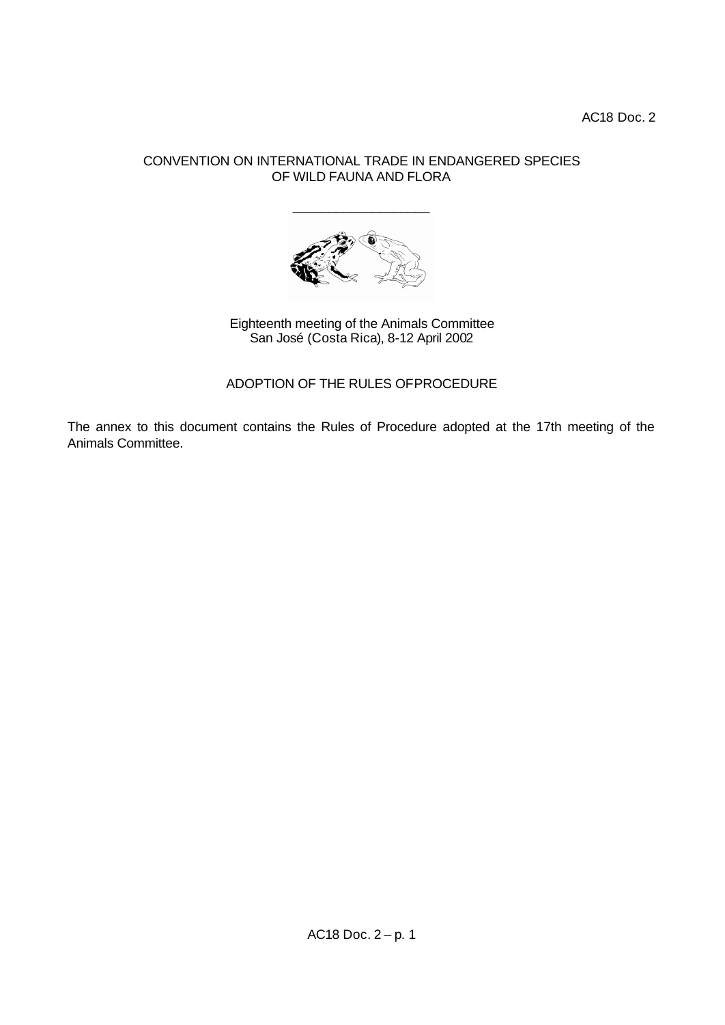AC18 Doc. 2

# CONVENTION ON INTERNATIONAL TRADE IN ENDANGERED SPECIES OF WILD FAUNA AND FLORA

\_\_\_\_\_\_\_\_\_\_\_\_\_\_\_\_\_\_\_



Eighteenth meeting of the Animals Committee San José (Costa Rica), 8-12 April 2002

ADOPTION OF THE RULES OF PROCEDURE

The annex to this document contains the Rules of Procedure adopted at the 17th meeting of the Animals Committee.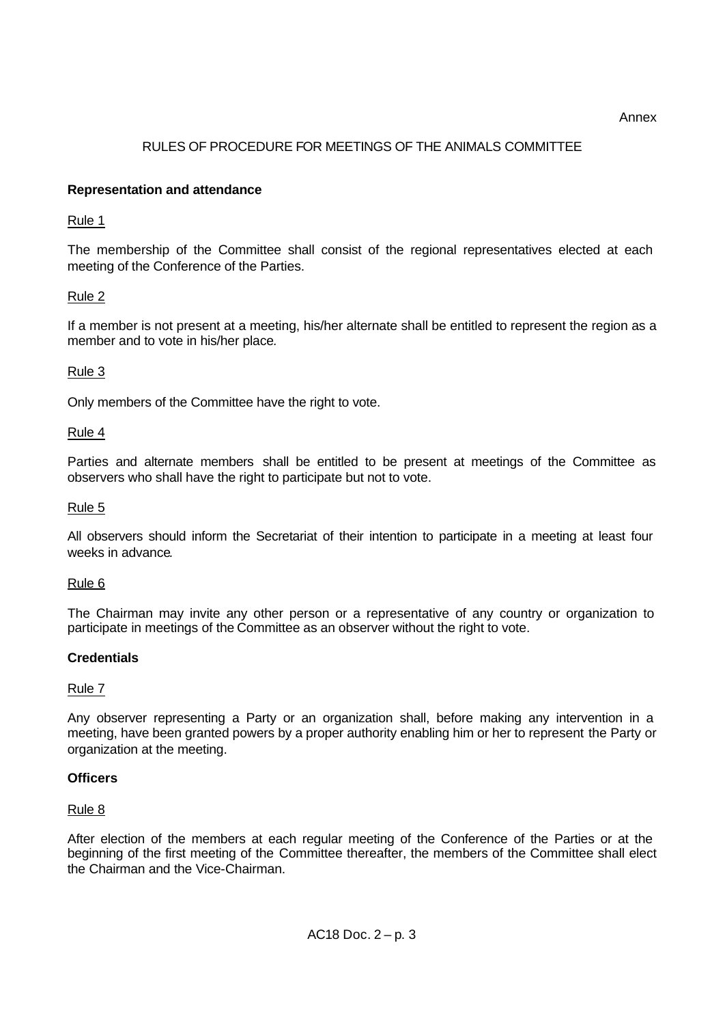Annex

# RULES OF PROCEDURE FOR MEETINGS OF THE ANIMALS COMMITTEE

## **Representation and attendance**

### Rule 1

The membership of the Committee shall consist of the regional representatives elected at each meeting of the Conference of the Parties.

# Rule 2

If a member is not present at a meeting, his/her alternate shall be entitled to represent the region as a member and to vote in his/her place*.*

### Rule 3

Only members of the Committee have the right to vote.

#### Rule 4

Parties and alternate members shall be entitled to be present at meetings of the Committee as observers who shall have the right to participate but not to vote.

#### Rule 5

All observers should inform the Secretariat of their intention to participate in a meeting at least four weeks in advance*.*

#### Rule 6

The Chairman may invite any other person or a representative of any country or organization to participate in meetings of the Committee as an observer without the right to vote.

#### **Credentials**

#### Rule 7

Any observer representing a Party or an organization shall, before making any intervention in a meeting, have been granted powers by a proper authority enabling him or her to represent the Party or organization at the meeting.

# **Officers**

#### Rule 8

After election of the members at each regular meeting of the Conference of the Parties or at the beginning of the first meeting of the Committee thereafter, the members of the Committee shall elect the Chairman and the Vice-Chairman.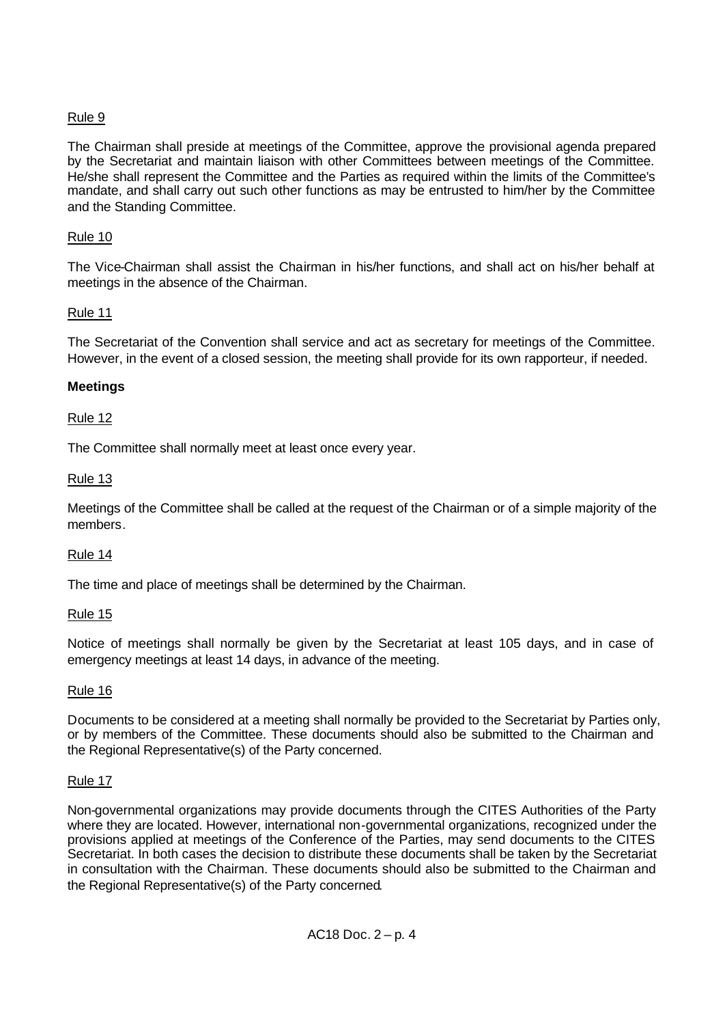# Rule 9

The Chairman shall preside at meetings of the Committee, approve the provisional agenda prepared by the Secretariat and maintain liaison with other Committees between meetings of the Committee. He/she shall represent the Committee and the Parties as required within the limits of the Committee's mandate, and shall carry out such other functions as may be entrusted to him/her by the Committee and the Standing Committee.

# Rule 10

The Vice-Chairman shall assist the Chairman in his/her functions, and shall act on his/her behalf at meetings in the absence of the Chairman.

# Rule 11

The Secretariat of the Convention shall service and act as secretary for meetings of the Committee. However, in the event of a closed session, the meeting shall provide for its own rapporteur, if needed.

# **Meetings**

# Rule 12

The Committee shall normally meet at least once every year.

# Rule 13

Meetings of the Committee shall be called at the request of the Chairman or of a simple majority of the members.

# Rule 14

The time and place of meetings shall be determined by the Chairman.

# Rule 15

Notice of meetings shall normally be given by the Secretariat at least 105 days, and in case of emergency meetings at least 14 days, in advance of the meeting.

# Rule 16

Documents to be considered at a meeting shall normally be provided to the Secretariat by Parties only, or by members of the Committee. These documents should also be submitted to the Chairman and the Regional Representative(s) of the Party concerned.

# Rule 17

Non-governmental organizations may provide documents through the CITES Authorities of the Party where they are located. However, international non-governmental organizations, recognized under the provisions applied at meetings of the Conference of the Parties, may send documents to the CITES Secretariat. In both cases the decision to distribute these documents shall be taken by the Secretariat in consultation with the Chairman. These documents should also be submitted to the Chairman and the Regional Representative(s) of the Party concerned*.*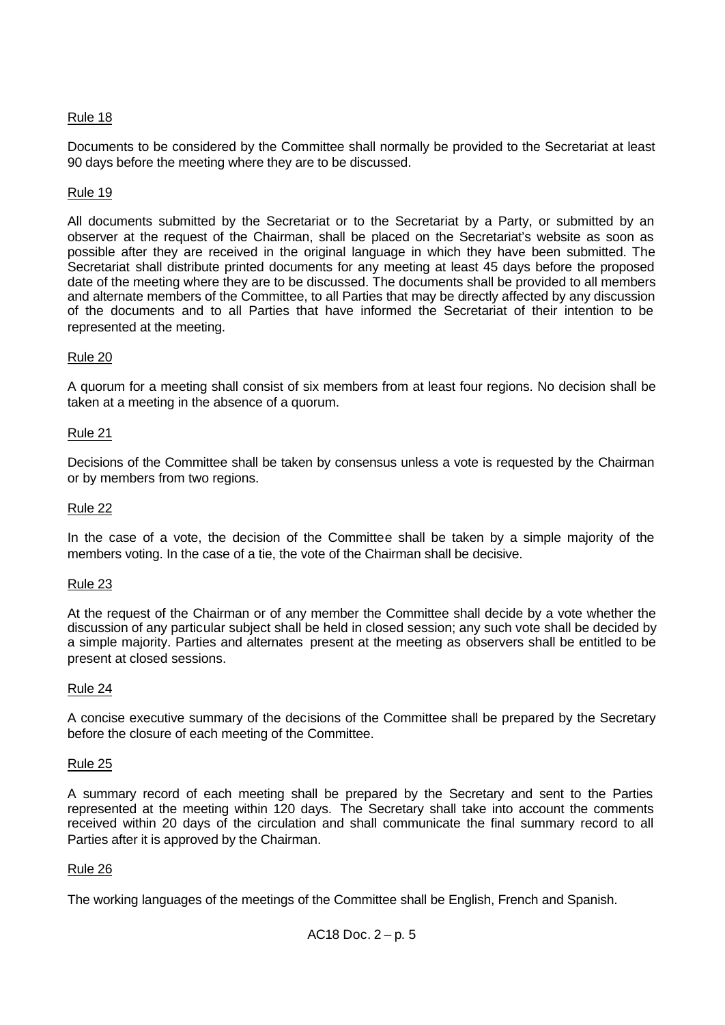# Rule 18

Documents to be considered by the Committee shall normally be provided to the Secretariat at least 90 days before the meeting where they are to be discussed.

# Rule 19

All documents submitted by the Secretariat or to the Secretariat by a Party, or submitted by an observer at the request of the Chairman, shall be placed on the Secretariat's website as soon as possible after they are received in the original language in which they have been submitted. The Secretariat shall distribute printed documents for any meeting at least 45 days before the proposed date of the meeting where they are to be discussed. The documents shall be provided to all members and alternate members of the Committee, to all Parties that may be directly affected by any discussion of the documents and to all Parties that have informed the Secretariat of their intention to be represented at the meeting.

### Rule 20

A quorum for a meeting shall consist of six members from at least four regions. No decision shall be taken at a meeting in the absence of a quorum.

### Rule 21

Decisions of the Committee shall be taken by consensus unless a vote is requested by the Chairman or by members from two regions.

#### Rule 22

In the case of a vote, the decision of the Committee shall be taken by a simple majority of the members voting. In the case of a tie, the vote of the Chairman shall be decisive.

#### Rule 23

At the request of the Chairman or of any member the Committee shall decide by a vote whether the discussion of any particular subject shall be held in closed session; any such vote shall be decided by a simple majority. Parties and alternates present at the meeting as observers shall be entitled to be present at closed sessions.

#### Rule 24

A concise executive summary of the decisions of the Committee shall be prepared by the Secretary before the closure of each meeting of the Committee.

#### Rule 25

A summary record of each meeting shall be prepared by the Secretary and sent to the Parties represented at the meeting within 120 days. The Secretary shall take into account the comments received within 20 days of the circulation and shall communicate the final summary record to all Parties after it is approved by the Chairman.

#### Rule 26

The working languages of the meetings of the Committee shall be English, French and Spanish.